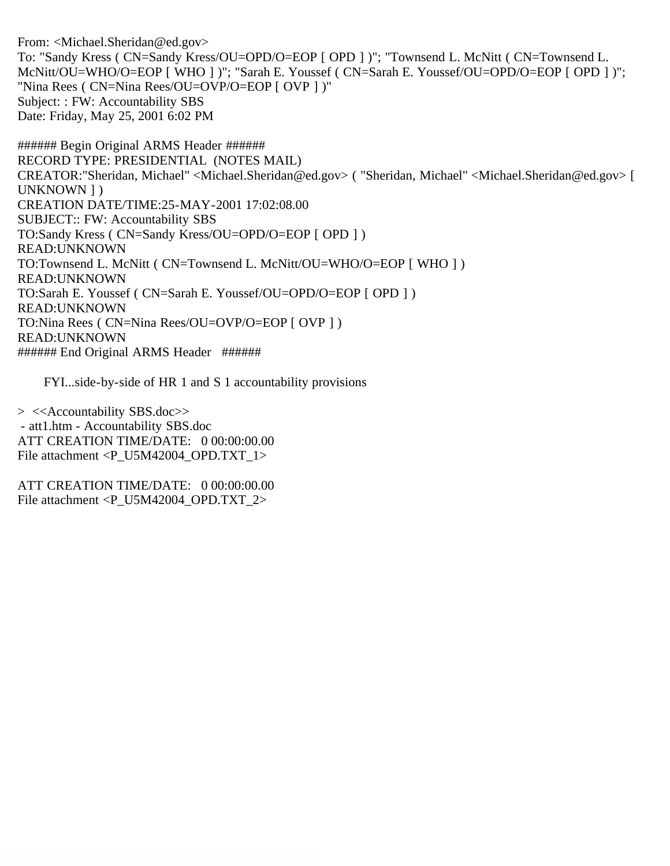From: <Michael.Sheridan@ed.gov> To: "Sandy Kress ( CN=Sandy Kress/OU=OPD/O=EOP [ OPD ] )"; "Townsend L. McNitt ( CN=Townsend L. McNitt/OU=WHO/O=EOP [ WHO ] )"; "Sarah E. Youssef ( CN=Sarah E. Youssef/OU=OPD/O=EOP [ OPD ] )"; "Nina Rees ( CN=Nina Rees/OU=OVP/O=EOP [ OVP ] )" Subject: : FW: Accountability SBS Date: Friday, May 25, 2001 6:02 PM

###### Begin Original ARMS Header ###### RECORD TYPE: PRESIDENTIAL (NOTES MAIL) CREATOR:"Sheridan, Michael" <Michael.Sheridan@ed.gov> ( "Sheridan, Michael" <Michael.Sheridan@ed.gov> [ UNKNOWN ] ) CREATION DATE/TIME:25-MAY-2001 17:02:08.00 SUBJECT:: FW: Accountability SBS TO:Sandy Kress ( CN=Sandy Kress/OU=OPD/O=EOP [ OPD ] ) READ:UNKNOWN TO:Townsend L. McNitt ( CN=Townsend L. McNitt/OU=WHO/O=EOP [ WHO ] ) READ:UNKNOWN TO:Sarah E. Youssef ( CN=Sarah E. Youssef/OU=OPD/O=EOP [ OPD ] ) READ:UNKNOWN TO:Nina Rees ( CN=Nina Rees/OU=OVP/O=EOP [ OVP ] ) READ:UNKNOWN ###### End Original ARMS Header ######

FYI...side-by-side of HR 1 and S 1 accountability provisions

> <<Accountability SBS.doc>> - att1.htm - Accountability SBS.doc ATT CREATION TIME/DATE: 0 00:00:00.00 File attachment <P\_U5M42004\_OPD.TXT\_1>

ATT CREATION TIME/DATE: 0 00:00:00.00 File attachment  $\langle P \text{ U} 5M42004 \text{ OPD}. TXT \text{ } 2 \rangle$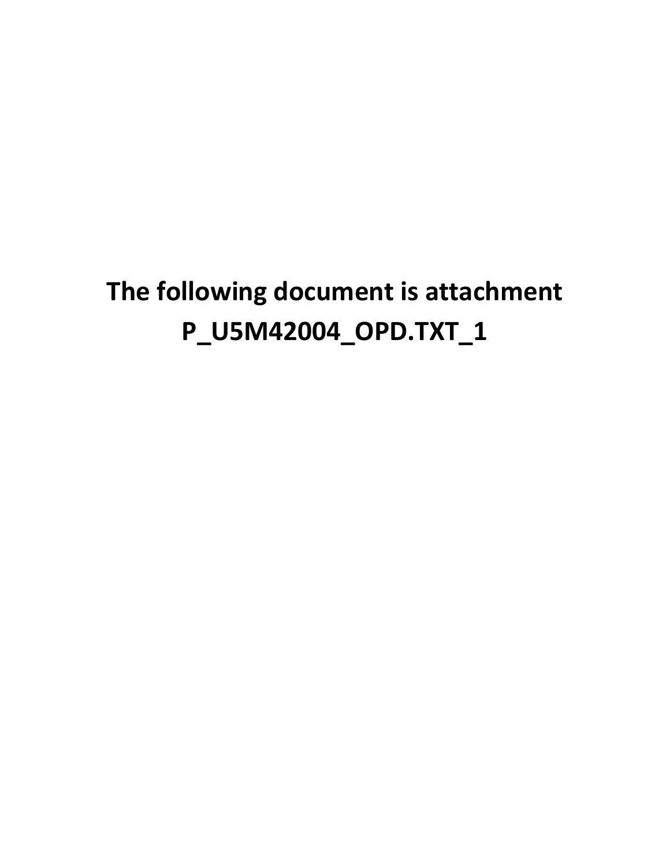# **The following document is attachment P\_U5M42004\_OPD.TXT\_1**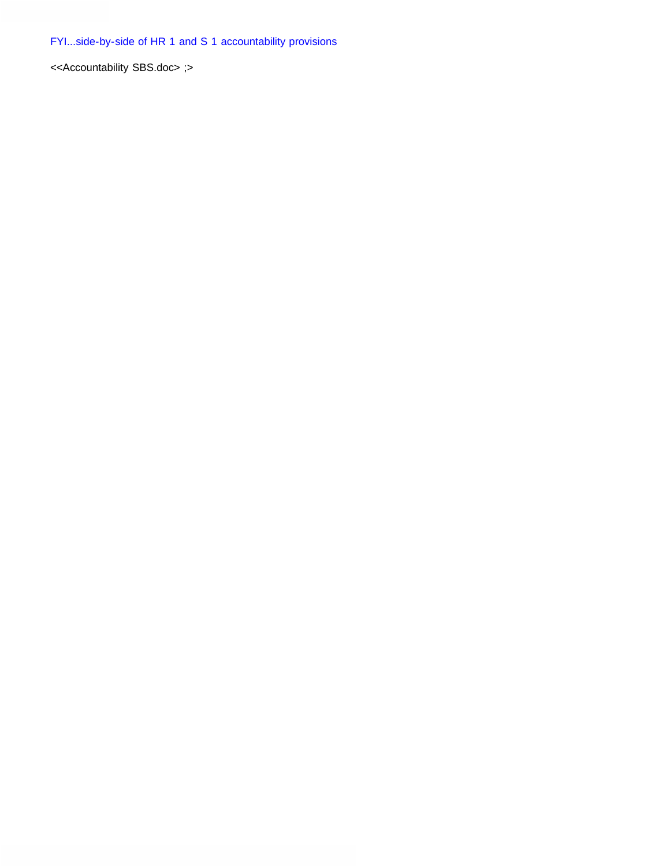<<Accountability SBS.doc> ;>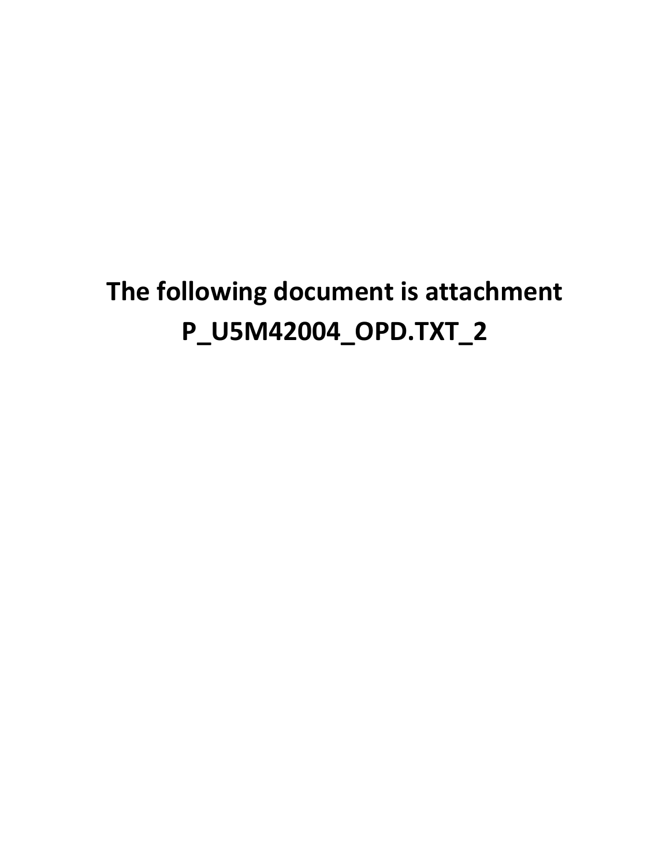# **The following document is attachment P\_U5M42004\_OPD.TXT\_2**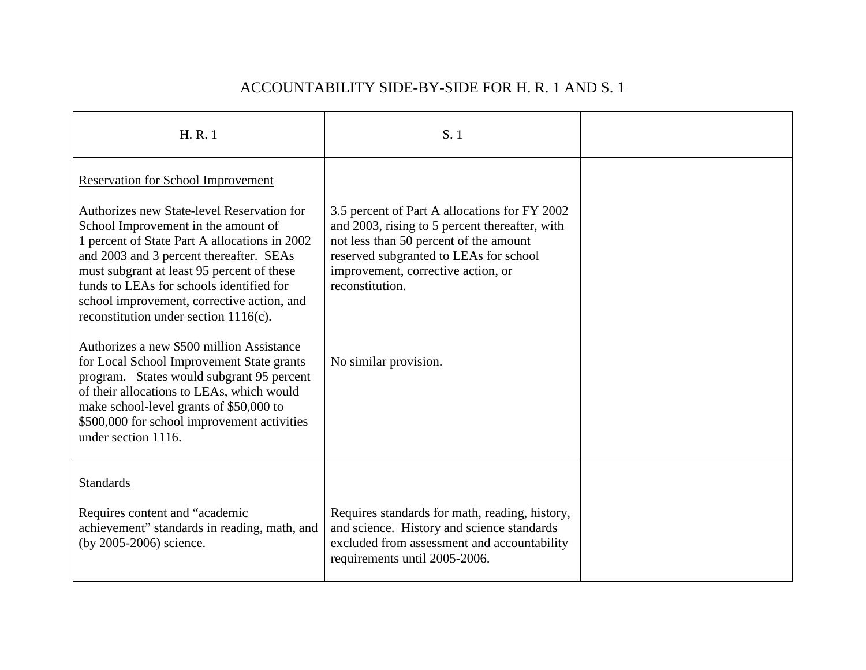| H.R.1                                                                                                                                                                                                                                                                                                                                                              | S. 1                                                                                                                                                                                                                                         |  |
|--------------------------------------------------------------------------------------------------------------------------------------------------------------------------------------------------------------------------------------------------------------------------------------------------------------------------------------------------------------------|----------------------------------------------------------------------------------------------------------------------------------------------------------------------------------------------------------------------------------------------|--|
| <b>Reservation for School Improvement</b><br>Authorizes new State-level Reservation for<br>School Improvement in the amount of<br>1 percent of State Part A allocations in 2002<br>and 2003 and 3 percent thereafter. SEAs<br>must subgrant at least 95 percent of these<br>funds to LEAs for schools identified for<br>school improvement, corrective action, and | 3.5 percent of Part A allocations for FY 2002<br>and 2003, rising to 5 percent thereafter, with<br>not less than 50 percent of the amount<br>reserved subgranted to LEAs for school<br>improvement, corrective action, or<br>reconstitution. |  |
| reconstitution under section $1116(c)$ .<br>Authorizes a new \$500 million Assistance<br>for Local School Improvement State grants<br>program. States would subgrant 95 percent<br>of their allocations to LEAs, which would<br>make school-level grants of \$50,000 to<br>\$500,000 for school improvement activities<br>under section 1116.                      | No similar provision.                                                                                                                                                                                                                        |  |
| <b>Standards</b><br>Requires content and "academic<br>achievement" standards in reading, math, and<br>(by 2005-2006) science.                                                                                                                                                                                                                                      | Requires standards for math, reading, history,<br>and science. History and science standards<br>excluded from assessment and accountability<br>requirements until 2005-2006.                                                                 |  |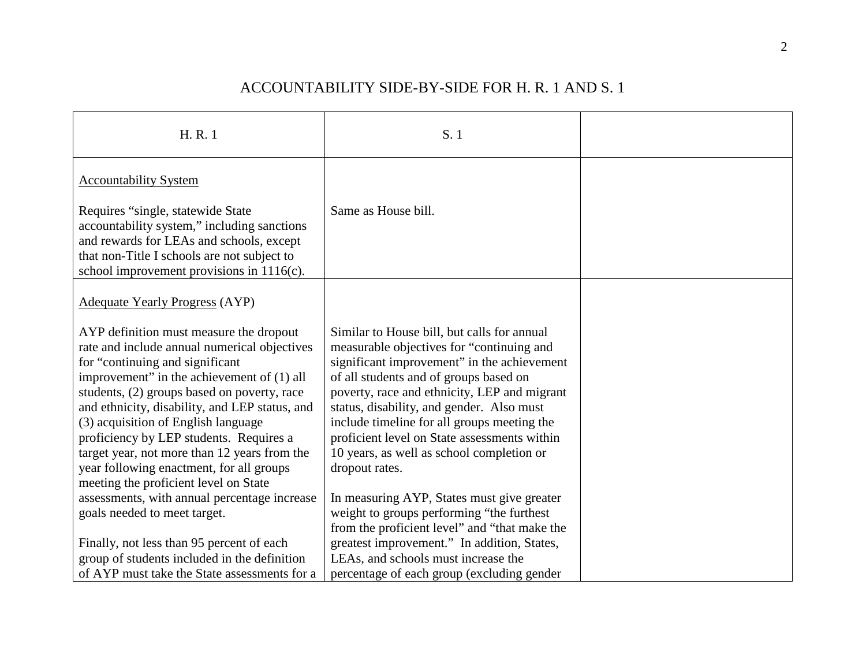| H.R.1                                                                                                                                                                                                                                                                                                                                                                                                                                                                                            | S. 1                                                                                                                                                                                                                                                                                                                                                                                                                                         |  |
|--------------------------------------------------------------------------------------------------------------------------------------------------------------------------------------------------------------------------------------------------------------------------------------------------------------------------------------------------------------------------------------------------------------------------------------------------------------------------------------------------|----------------------------------------------------------------------------------------------------------------------------------------------------------------------------------------------------------------------------------------------------------------------------------------------------------------------------------------------------------------------------------------------------------------------------------------------|--|
| <b>Accountability System</b>                                                                                                                                                                                                                                                                                                                                                                                                                                                                     |                                                                                                                                                                                                                                                                                                                                                                                                                                              |  |
| Requires "single, statewide State<br>accountability system," including sanctions<br>and rewards for LEAs and schools, except<br>that non-Title I schools are not subject to<br>school improvement provisions in $1116(c)$ .                                                                                                                                                                                                                                                                      | Same as House bill.                                                                                                                                                                                                                                                                                                                                                                                                                          |  |
| <b>Adequate Yearly Progress (AYP)</b>                                                                                                                                                                                                                                                                                                                                                                                                                                                            |                                                                                                                                                                                                                                                                                                                                                                                                                                              |  |
| AYP definition must measure the dropout<br>rate and include annual numerical objectives<br>for "continuing and significant<br>improvement" in the achievement of (1) all<br>students, (2) groups based on poverty, race<br>and ethnicity, disability, and LEP status, and<br>(3) acquisition of English language<br>proficiency by LEP students. Requires a<br>target year, not more than 12 years from the<br>year following enactment, for all groups<br>meeting the proficient level on State | Similar to House bill, but calls for annual<br>measurable objectives for "continuing and<br>significant improvement" in the achievement<br>of all students and of groups based on<br>poverty, race and ethnicity, LEP and migrant<br>status, disability, and gender. Also must<br>include timeline for all groups meeting the<br>proficient level on State assessments within<br>10 years, as well as school completion or<br>dropout rates. |  |
| assessments, with annual percentage increase<br>goals needed to meet target.                                                                                                                                                                                                                                                                                                                                                                                                                     | In measuring AYP, States must give greater<br>weight to groups performing "the furthest<br>from the proficient level" and "that make the                                                                                                                                                                                                                                                                                                     |  |
| Finally, not less than 95 percent of each<br>group of students included in the definition<br>of AYP must take the State assessments for a                                                                                                                                                                                                                                                                                                                                                        | greatest improvement." In addition, States,<br>LEAs, and schools must increase the<br>percentage of each group (excluding gender                                                                                                                                                                                                                                                                                                             |  |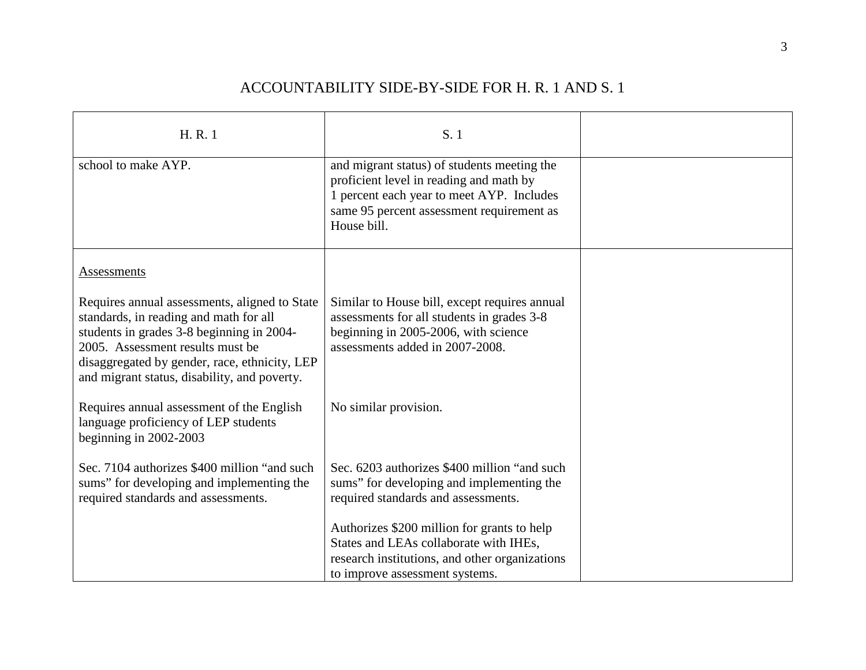| H.R.1                                                                                                                                                                                                                                                                     | S. 1                                                                                                                                                                                            |  |
|---------------------------------------------------------------------------------------------------------------------------------------------------------------------------------------------------------------------------------------------------------------------------|-------------------------------------------------------------------------------------------------------------------------------------------------------------------------------------------------|--|
| school to make AYP.                                                                                                                                                                                                                                                       | and migrant status) of students meeting the<br>proficient level in reading and math by<br>1 percent each year to meet AYP. Includes<br>same 95 percent assessment requirement as<br>House bill. |  |
| Assessments                                                                                                                                                                                                                                                               |                                                                                                                                                                                                 |  |
| Requires annual assessments, aligned to State<br>standards, in reading and math for all<br>students in grades 3-8 beginning in 2004-<br>2005. Assessment results must be<br>disaggregated by gender, race, ethnicity, LEP<br>and migrant status, disability, and poverty. | Similar to House bill, except requires annual<br>assessments for all students in grades 3-8<br>beginning in 2005-2006, with science<br>assessments added in 2007-2008.                          |  |
| Requires annual assessment of the English<br>language proficiency of LEP students<br>beginning in $2002-2003$                                                                                                                                                             | No similar provision.                                                                                                                                                                           |  |
| Sec. 7104 authorizes \$400 million "and such<br>sums" for developing and implementing the<br>required standards and assessments.                                                                                                                                          | Sec. 6203 authorizes \$400 million "and such<br>sums" for developing and implementing the<br>required standards and assessments.                                                                |  |
|                                                                                                                                                                                                                                                                           | Authorizes \$200 million for grants to help<br>States and LEAs collaborate with IHEs,<br>research institutions, and other organizations<br>to improve assessment systems.                       |  |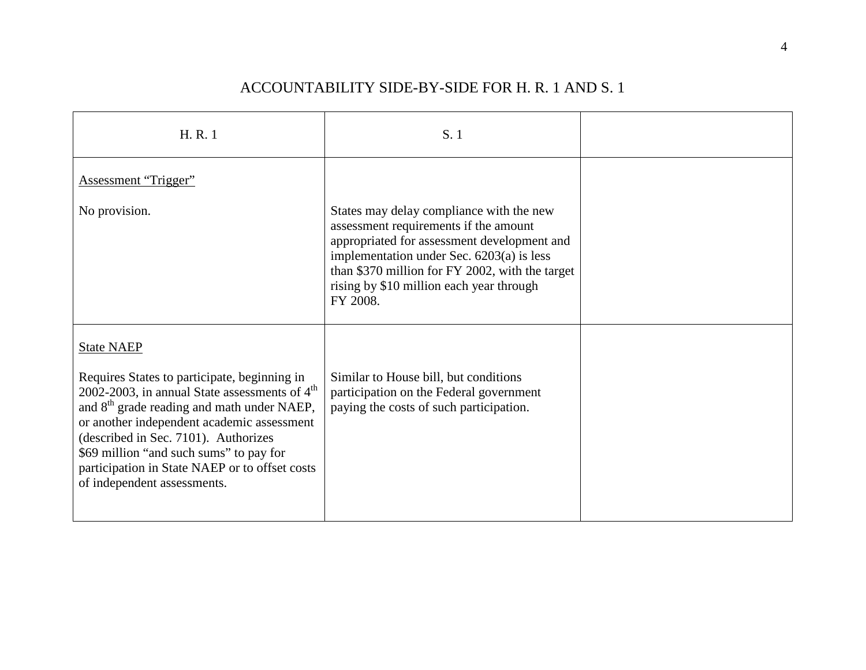| H.R.1                                                                                                                                                                                                                                                                                                                                                                                            | S. 1                                                                                                                                                                                                                                                                                     |  |
|--------------------------------------------------------------------------------------------------------------------------------------------------------------------------------------------------------------------------------------------------------------------------------------------------------------------------------------------------------------------------------------------------|------------------------------------------------------------------------------------------------------------------------------------------------------------------------------------------------------------------------------------------------------------------------------------------|--|
| Assessment "Trigger"                                                                                                                                                                                                                                                                                                                                                                             |                                                                                                                                                                                                                                                                                          |  |
| No provision.                                                                                                                                                                                                                                                                                                                                                                                    | States may delay compliance with the new<br>assessment requirements if the amount<br>appropriated for assessment development and<br>implementation under Sec. 6203(a) is less<br>than \$370 million for FY 2002, with the target<br>rising by \$10 million each year through<br>FY 2008. |  |
| <b>State NAEP</b><br>Requires States to participate, beginning in<br>2002-2003, in annual State assessments of $4th$<br>and 8 <sup>th</sup> grade reading and math under NAEP,<br>or another independent academic assessment<br>(described in Sec. 7101). Authorizes<br>\$69 million "and such sums" to pay for<br>participation in State NAEP or to offset costs<br>of independent assessments. | Similar to House bill, but conditions<br>participation on the Federal government<br>paying the costs of such participation.                                                                                                                                                              |  |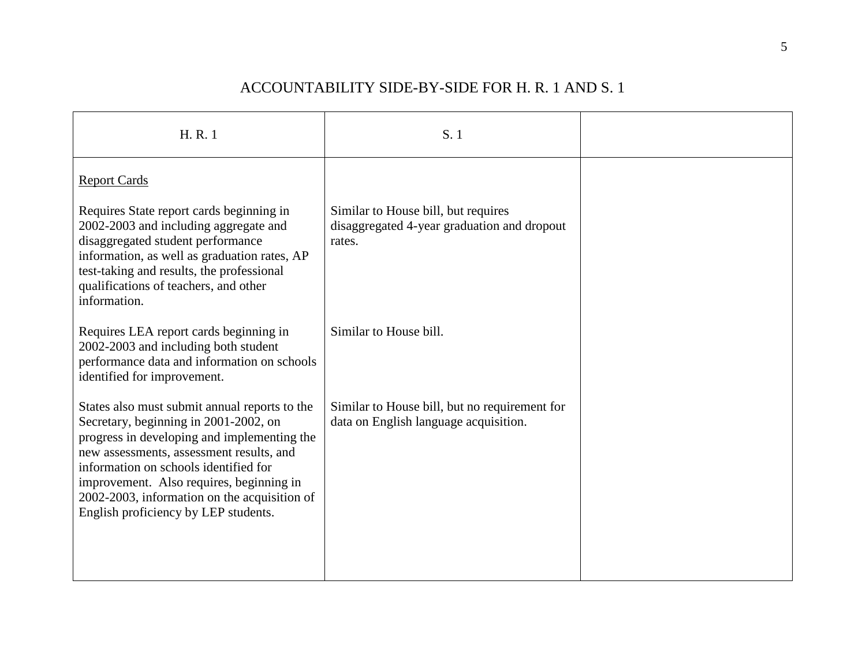| H.R.1                                                                                                                                                                                                                                                                                                                                                          | S. 1                                                                                         |  |
|----------------------------------------------------------------------------------------------------------------------------------------------------------------------------------------------------------------------------------------------------------------------------------------------------------------------------------------------------------------|----------------------------------------------------------------------------------------------|--|
| <b>Report Cards</b>                                                                                                                                                                                                                                                                                                                                            |                                                                                              |  |
| Requires State report cards beginning in<br>2002-2003 and including aggregate and<br>disaggregated student performance<br>information, as well as graduation rates, AP<br>test-taking and results, the professional<br>qualifications of teachers, and other<br>information.                                                                                   | Similar to House bill, but requires<br>disaggregated 4-year graduation and dropout<br>rates. |  |
| Requires LEA report cards beginning in<br>2002-2003 and including both student<br>performance data and information on schools<br>identified for improvement.                                                                                                                                                                                                   | Similar to House bill.                                                                       |  |
| States also must submit annual reports to the<br>Secretary, beginning in 2001-2002, on<br>progress in developing and implementing the<br>new assessments, assessment results, and<br>information on schools identified for<br>improvement. Also requires, beginning in<br>2002-2003, information on the acquisition of<br>English proficiency by LEP students. | Similar to House bill, but no requirement for<br>data on English language acquisition.       |  |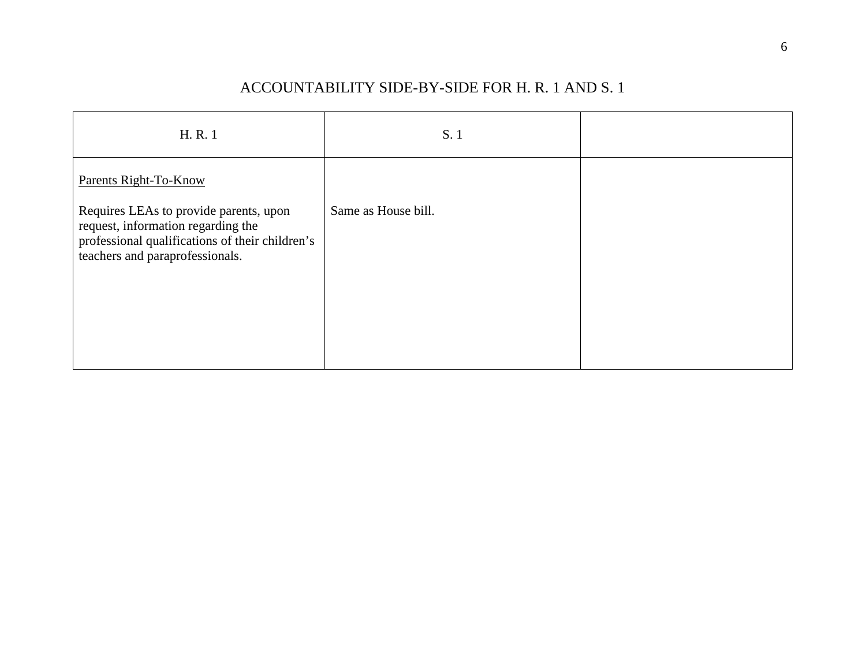| H.R.1                                                                                                                                                              | S. 1                |  |
|--------------------------------------------------------------------------------------------------------------------------------------------------------------------|---------------------|--|
| Parents Right-To-Know                                                                                                                                              |                     |  |
| Requires LEAs to provide parents, upon<br>request, information regarding the<br>professional qualifications of their children's<br>teachers and paraprofessionals. | Same as House bill. |  |
|                                                                                                                                                                    |                     |  |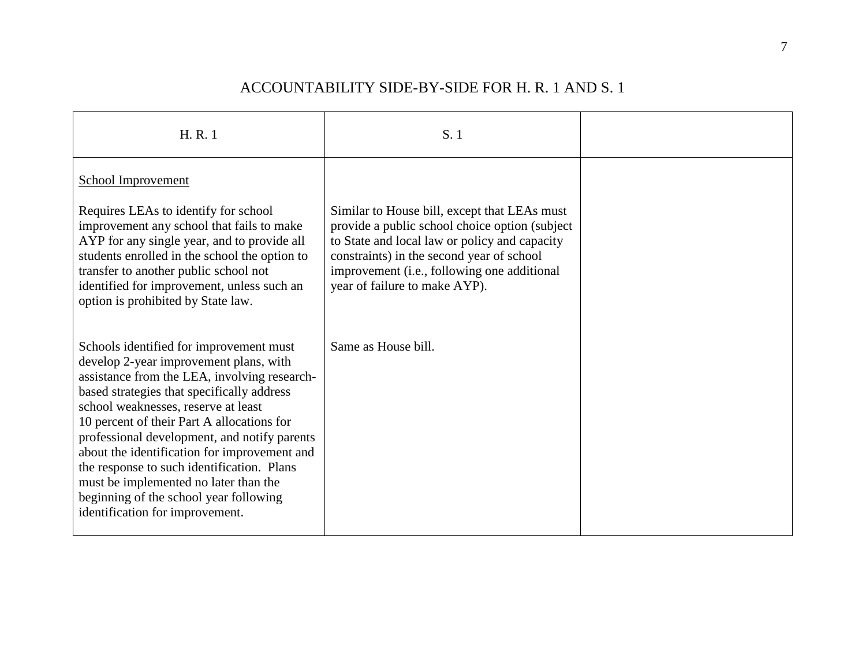| H.R.1                                                                                                                                                                                                                                                                                                                                                                                                                                                                                                                                    | S.1                                                                                                                                                                                                                                                                           |  |
|------------------------------------------------------------------------------------------------------------------------------------------------------------------------------------------------------------------------------------------------------------------------------------------------------------------------------------------------------------------------------------------------------------------------------------------------------------------------------------------------------------------------------------------|-------------------------------------------------------------------------------------------------------------------------------------------------------------------------------------------------------------------------------------------------------------------------------|--|
| <b>School Improvement</b><br>Requires LEAs to identify for school<br>improvement any school that fails to make<br>AYP for any single year, and to provide all<br>students enrolled in the school the option to<br>transfer to another public school not<br>identified for improvement, unless such an<br>option is prohibited by State law.                                                                                                                                                                                              | Similar to House bill, except that LEAs must<br>provide a public school choice option (subject)<br>to State and local law or policy and capacity<br>constraints) in the second year of school<br>improvement (i.e., following one additional<br>year of failure to make AYP). |  |
| Schools identified for improvement must<br>develop 2-year improvement plans, with<br>assistance from the LEA, involving research-<br>based strategies that specifically address<br>school weaknesses, reserve at least<br>10 percent of their Part A allocations for<br>professional development, and notify parents<br>about the identification for improvement and<br>the response to such identification. Plans<br>must be implemented no later than the<br>beginning of the school year following<br>identification for improvement. | Same as House bill.                                                                                                                                                                                                                                                           |  |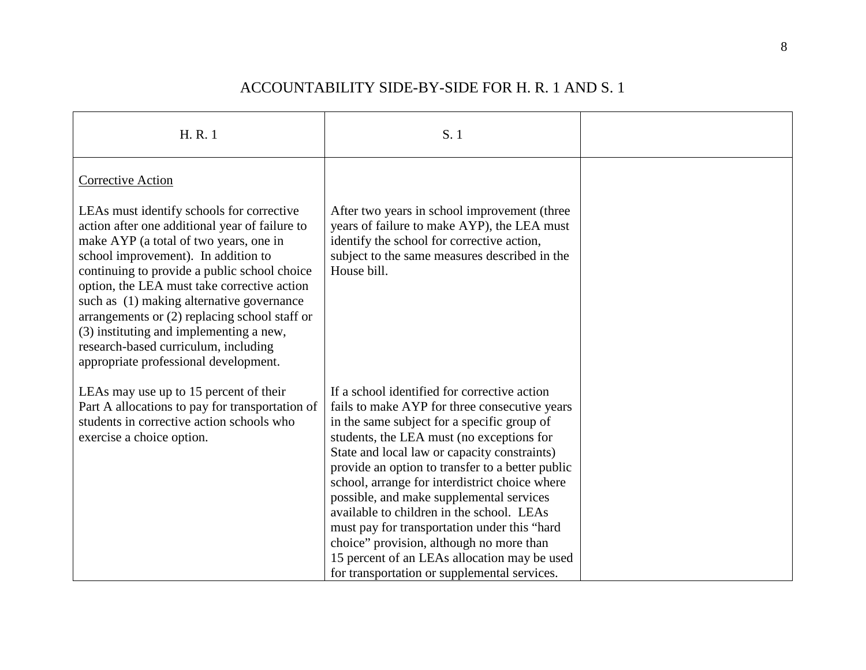| H.R.1                                                                                                                                                                                                                                                                                                                                                                                                                                                                                                 | S. 1                                                                                                                                                                                                                                                                                                                                                                                                                                                                                                                                                                                                                                 |  |
|-------------------------------------------------------------------------------------------------------------------------------------------------------------------------------------------------------------------------------------------------------------------------------------------------------------------------------------------------------------------------------------------------------------------------------------------------------------------------------------------------------|--------------------------------------------------------------------------------------------------------------------------------------------------------------------------------------------------------------------------------------------------------------------------------------------------------------------------------------------------------------------------------------------------------------------------------------------------------------------------------------------------------------------------------------------------------------------------------------------------------------------------------------|--|
| <b>Corrective Action</b>                                                                                                                                                                                                                                                                                                                                                                                                                                                                              |                                                                                                                                                                                                                                                                                                                                                                                                                                                                                                                                                                                                                                      |  |
| LEAs must identify schools for corrective<br>action after one additional year of failure to<br>make AYP (a total of two years, one in<br>school improvement). In addition to<br>continuing to provide a public school choice<br>option, the LEA must take corrective action<br>such as (1) making alternative governance<br>arrangements or (2) replacing school staff or<br>(3) instituting and implementing a new,<br>research-based curriculum, including<br>appropriate professional development. | After two years in school improvement (three<br>years of failure to make AYP), the LEA must<br>identify the school for corrective action,<br>subject to the same measures described in the<br>House bill.                                                                                                                                                                                                                                                                                                                                                                                                                            |  |
| LEAs may use up to 15 percent of their<br>Part A allocations to pay for transportation of<br>students in corrective action schools who<br>exercise a choice option.                                                                                                                                                                                                                                                                                                                                   | If a school identified for corrective action<br>fails to make AYP for three consecutive years<br>in the same subject for a specific group of<br>students, the LEA must (no exceptions for<br>State and local law or capacity constraints)<br>provide an option to transfer to a better public<br>school, arrange for interdistrict choice where<br>possible, and make supplemental services<br>available to children in the school. LEAs<br>must pay for transportation under this "hard<br>choice" provision, although no more than<br>15 percent of an LEAs allocation may be used<br>for transportation or supplemental services. |  |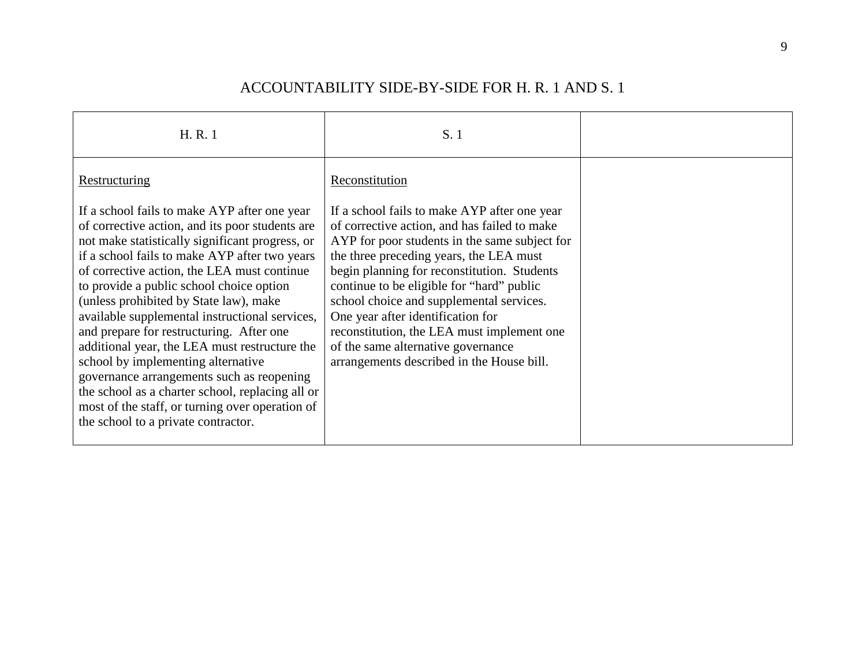| H.R.1                                                                                                                                                                                                                                                                                                                                                                                                                                                                                                                                                                                                                                                                                                                                     | S. 1                                                                                                                                                                                                                                                                                                                                                                                                                                                                                                                     |  |
|-------------------------------------------------------------------------------------------------------------------------------------------------------------------------------------------------------------------------------------------------------------------------------------------------------------------------------------------------------------------------------------------------------------------------------------------------------------------------------------------------------------------------------------------------------------------------------------------------------------------------------------------------------------------------------------------------------------------------------------------|--------------------------------------------------------------------------------------------------------------------------------------------------------------------------------------------------------------------------------------------------------------------------------------------------------------------------------------------------------------------------------------------------------------------------------------------------------------------------------------------------------------------------|--|
| Restructuring<br>If a school fails to make AYP after one year<br>of corrective action, and its poor students are<br>not make statistically significant progress, or<br>if a school fails to make AYP after two years<br>of corrective action, the LEA must continue<br>to provide a public school choice option<br>(unless prohibited by State law), make<br>available supplemental instructional services,<br>and prepare for restructuring. After one<br>additional year, the LEA must restructure the<br>school by implementing alternative<br>governance arrangements such as reopening<br>the school as a charter school, replacing all or<br>most of the staff, or turning over operation of<br>the school to a private contractor. | Reconstitution<br>If a school fails to make AYP after one year<br>of corrective action, and has failed to make<br>AYP for poor students in the same subject for<br>the three preceding years, the LEA must<br>begin planning for reconstitution. Students<br>continue to be eligible for "hard" public<br>school choice and supplemental services.<br>One year after identification for<br>reconstitution, the LEA must implement one<br>of the same alternative governance<br>arrangements described in the House bill. |  |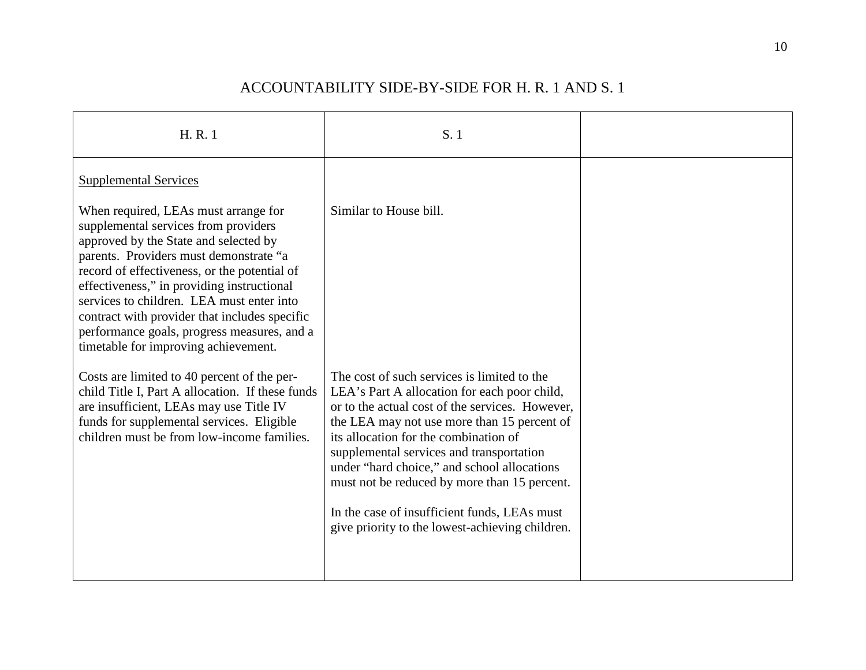| H.R.1                                                                                                                                                                                                                                                                                                                                                                                                                                              | S. 1                                                                                                                                                                                                                                                                                                                                                                                                                                                                                 |  |
|----------------------------------------------------------------------------------------------------------------------------------------------------------------------------------------------------------------------------------------------------------------------------------------------------------------------------------------------------------------------------------------------------------------------------------------------------|--------------------------------------------------------------------------------------------------------------------------------------------------------------------------------------------------------------------------------------------------------------------------------------------------------------------------------------------------------------------------------------------------------------------------------------------------------------------------------------|--|
| <b>Supplemental Services</b>                                                                                                                                                                                                                                                                                                                                                                                                                       |                                                                                                                                                                                                                                                                                                                                                                                                                                                                                      |  |
| When required, LEAs must arrange for<br>supplemental services from providers<br>approved by the State and selected by<br>parents. Providers must demonstrate "a<br>record of effectiveness, or the potential of<br>effectiveness," in providing instructional<br>services to children. LEA must enter into<br>contract with provider that includes specific<br>performance goals, progress measures, and a<br>timetable for improving achievement. | Similar to House bill.                                                                                                                                                                                                                                                                                                                                                                                                                                                               |  |
| Costs are limited to 40 percent of the per-<br>child Title I, Part A allocation. If these funds<br>are insufficient, LEAs may use Title IV<br>funds for supplemental services. Eligible<br>children must be from low-income families.                                                                                                                                                                                                              | The cost of such services is limited to the<br>LEA's Part A allocation for each poor child,<br>or to the actual cost of the services. However,<br>the LEA may not use more than 15 percent of<br>its allocation for the combination of<br>supplemental services and transportation<br>under "hard choice," and school allocations<br>must not be reduced by more than 15 percent.<br>In the case of insufficient funds, LEAs must<br>give priority to the lowest-achieving children. |  |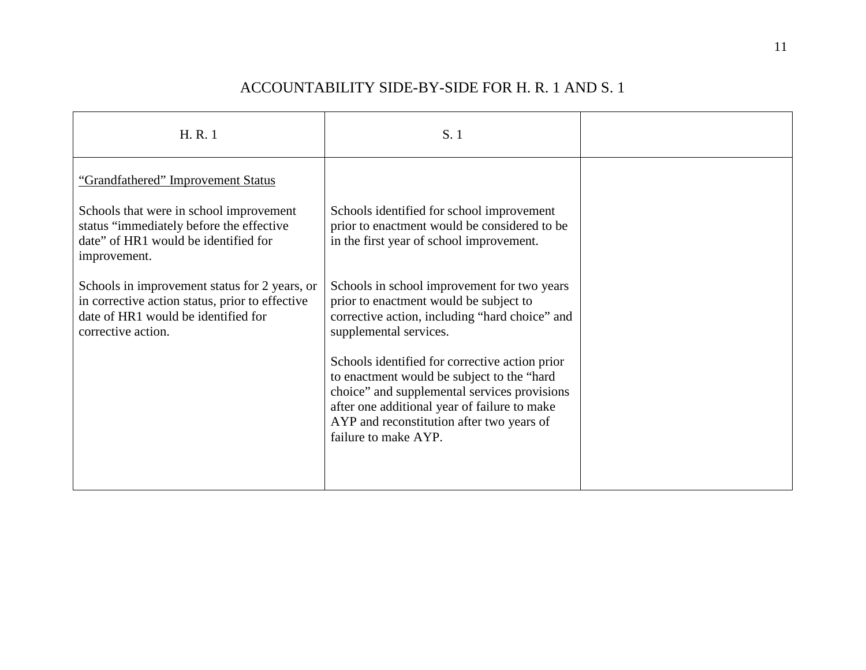| H.R.1                                                                                                                                                         | S. 1                                                                                                                                                                                                                                                               |  |
|---------------------------------------------------------------------------------------------------------------------------------------------------------------|--------------------------------------------------------------------------------------------------------------------------------------------------------------------------------------------------------------------------------------------------------------------|--|
| "Grandfathered" Improvement Status                                                                                                                            |                                                                                                                                                                                                                                                                    |  |
| Schools that were in school improvement<br>status "immediately before the effective"<br>date" of HR1 would be identified for<br>improvement.                  | Schools identified for school improvement<br>prior to enactment would be considered to be<br>in the first year of school improvement.                                                                                                                              |  |
| Schools in improvement status for 2 years, or<br>in corrective action status, prior to effective<br>date of HR1 would be identified for<br>corrective action. | Schools in school improvement for two years<br>prior to enactment would be subject to<br>corrective action, including "hard choice" and<br>supplemental services.                                                                                                  |  |
|                                                                                                                                                               | Schools identified for corrective action prior<br>to enactment would be subject to the "hard"<br>choice" and supplemental services provisions<br>after one additional year of failure to make<br>AYP and reconstitution after two years of<br>failure to make AYP. |  |
|                                                                                                                                                               |                                                                                                                                                                                                                                                                    |  |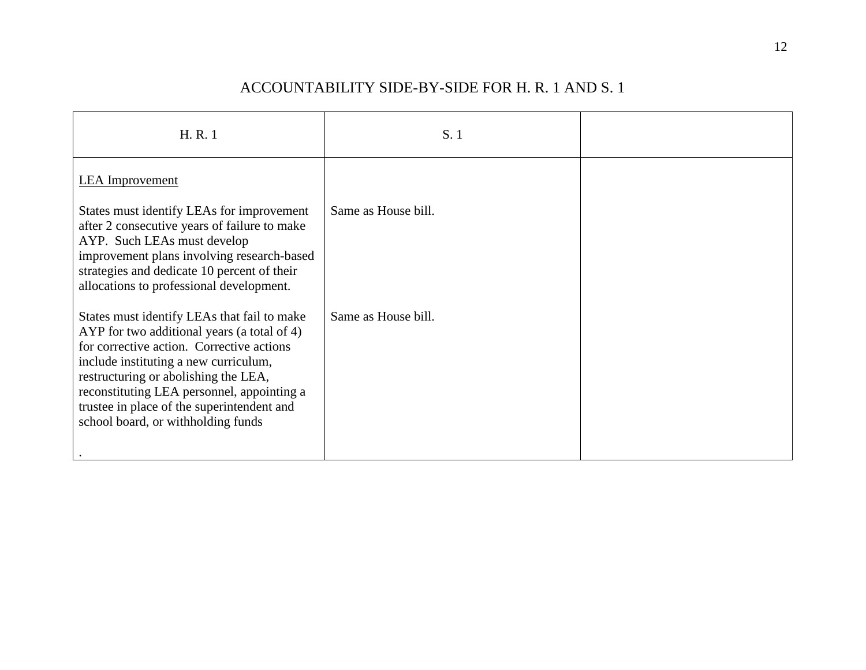| H.R.1                                                                                                                                                                                                                                                                                                                                                      | S.1                 |  |
|------------------------------------------------------------------------------------------------------------------------------------------------------------------------------------------------------------------------------------------------------------------------------------------------------------------------------------------------------------|---------------------|--|
| <b>LEA</b> Improvement                                                                                                                                                                                                                                                                                                                                     |                     |  |
| States must identify LEAs for improvement<br>after 2 consecutive years of failure to make<br>AYP. Such LEAs must develop<br>improvement plans involving research-based<br>strategies and dedicate 10 percent of their<br>allocations to professional development.                                                                                          | Same as House bill. |  |
| States must identify LEAs that fail to make<br>AYP for two additional years (a total of 4)<br>for corrective action. Corrective actions<br>include instituting a new curriculum,<br>restructuring or abolishing the LEA,<br>reconstituting LEA personnel, appointing a<br>trustee in place of the superintendent and<br>school board, or withholding funds | Same as House bill. |  |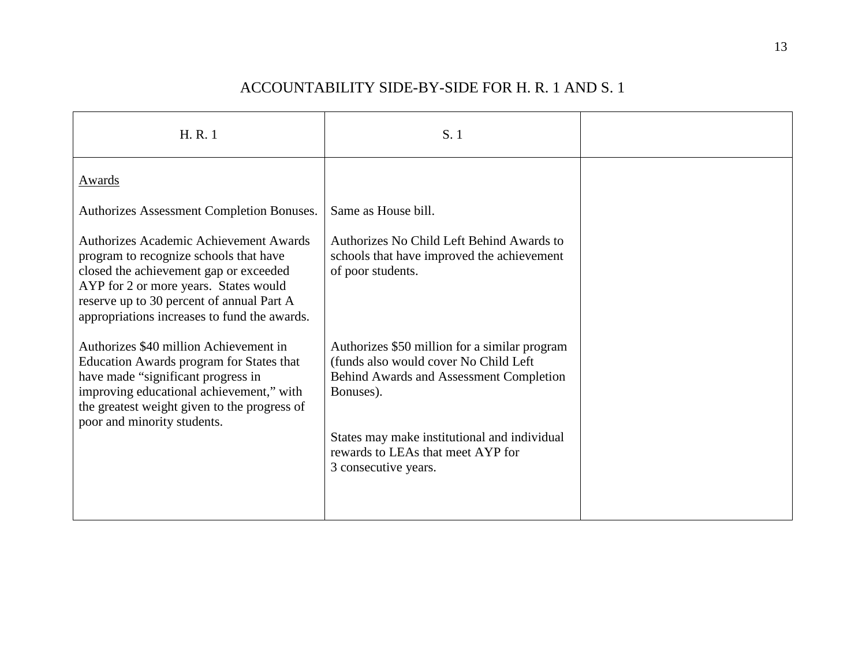| H.R.1                                                                                                                                                                                                                                                                   | S. 1                                                                                                                                                                                                                                                        |  |
|-------------------------------------------------------------------------------------------------------------------------------------------------------------------------------------------------------------------------------------------------------------------------|-------------------------------------------------------------------------------------------------------------------------------------------------------------------------------------------------------------------------------------------------------------|--|
| Awards                                                                                                                                                                                                                                                                  |                                                                                                                                                                                                                                                             |  |
| Authorizes Assessment Completion Bonuses.                                                                                                                                                                                                                               | Same as House bill.                                                                                                                                                                                                                                         |  |
| <b>Authorizes Academic Achievement Awards</b><br>program to recognize schools that have<br>closed the achievement gap or exceeded<br>AYP for 2 or more years. States would<br>reserve up to 30 percent of annual Part A<br>appropriations increases to fund the awards. | Authorizes No Child Left Behind Awards to<br>schools that have improved the achievement<br>of poor students.                                                                                                                                                |  |
| Authorizes \$40 million Achievement in<br>Education Awards program for States that<br>have made "significant progress in<br>improving educational achievement," with<br>the greatest weight given to the progress of<br>poor and minority students.                     | Authorizes \$50 million for a similar program<br>(funds also would cover No Child Left<br>Behind Awards and Assessment Completion<br>Bonuses).<br>States may make institutional and individual<br>rewards to LEAs that meet AYP for<br>3 consecutive years. |  |